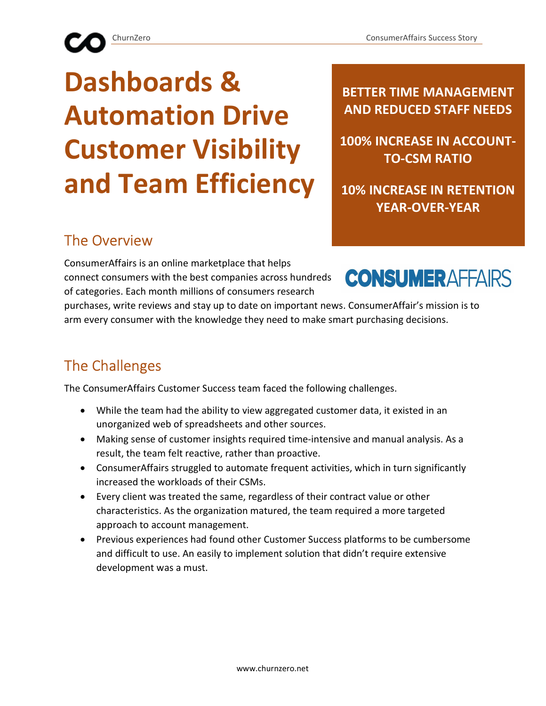# Dashboards & Automation Drive Customer Visibility and Team Efficiency

BETTER TIME MANAGEMENT AND REDUCED STAFF NEEDS

100% INCREASE IN ACCOUNT-TO-CSM RATIO

10% INCREASE IN RETENTION YEAR-OVER-YEAR

#### The Overview

ConsumerAffairs is an online marketplace that helps connect consumers with the best companies across hundreds of categories. Each month millions of consumers research



purchases, write reviews and stay up to date on important news. ConsumerAffair's mission is to arm every consumer with the knowledge they need to make smart purchasing decisions.

#### The Challenges

The ConsumerAffairs Customer Success team faced the following challenges.

- While the team had the ability to view aggregated customer data, it existed in an unorganized web of spreadsheets and other sources.
- Making sense of customer insights required time-intensive and manual analysis. As a result, the team felt reactive, rather than proactive.
- ConsumerAffairs struggled to automate frequent activities, which in turn significantly increased the workloads of their CSMs.
- Every client was treated the same, regardless of their contract value or other characteristics. As the organization matured, the team required a more targeted approach to account management.
- Previous experiences had found other Customer Success platforms to be cumbersome and difficult to use. An easily to implement solution that didn't require extensive development was a must.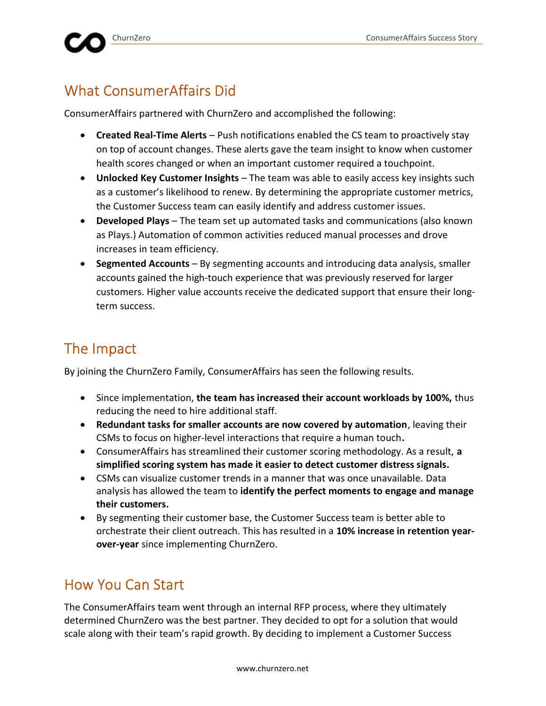## What ConsumerAffairs Did

ConsumerAffairs partnered with ChurnZero and accomplished the following:

- Created Real-Time Alerts Push notifications enabled the CS team to proactively stay on top of account changes. These alerts gave the team insight to know when customer health scores changed or when an important customer required a touchpoint.
- Unlocked Key Customer Insights The team was able to easily access key insights such as a customer's likelihood to renew. By determining the appropriate customer metrics, the Customer Success team can easily identify and address customer issues.
- Developed Plays The team set up automated tasks and communications (also known as Plays.) Automation of common activities reduced manual processes and drove increases in team efficiency.
- Segmented Accounts By segmenting accounts and introducing data analysis, smaller accounts gained the high-touch experience that was previously reserved for larger customers. Higher value accounts receive the dedicated support that ensure their longterm success.

## The Impact

By joining the ChurnZero Family, ConsumerAffairs has seen the following results.

- Since implementation, the team has increased their account workloads by 100%, thus reducing the need to hire additional staff.
- Redundant tasks for smaller accounts are now covered by automation, leaving their CSMs to focus on higher-level interactions that require a human touch.
- ConsumerAffairs has streamlined their customer scoring methodology. As a result, a simplified scoring system has made it easier to detect customer distress signals.
- CSMs can visualize customer trends in a manner that was once unavailable. Data analysis has allowed the team to identify the perfect moments to engage and manage their customers.
- By segmenting their customer base, the Customer Success team is better able to orchestrate their client outreach. This has resulted in a 10% increase in retention yearover-year since implementing ChurnZero.

### How You Can Start

The ConsumerAffairs team went through an internal RFP process, where they ultimately determined ChurnZero was the best partner. They decided to opt for a solution that would scale along with their team's rapid growth. By deciding to implement a Customer Success